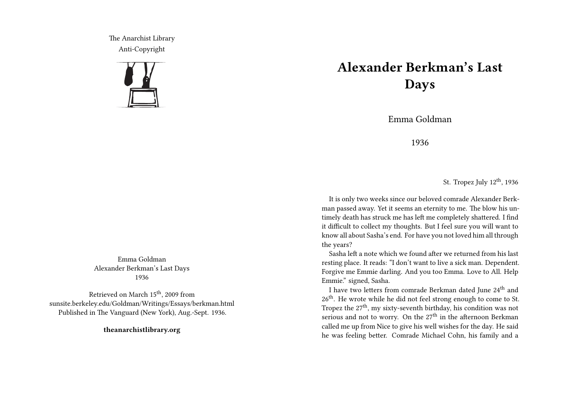The Anarchist Library Anti-Copyright



## **Alexander Berkman's Last Days**

Emma Goldman

1936

St. Tropez July 12<sup>th</sup>, 1936

It is only two weeks since our beloved comrade Alexander Berkman passed away. Yet it seems an eternity to me. The blow his untimely death has struck me has left me completely shattered. I find it difficult to collect my thoughts. But I feel sure you will want to know all about Sasha's end. For have you not loved him all through the years?

Sasha left a note which we found after we returned from his last resting place. It reads: "I don't want to live a sick man. Dependent. Forgive me Emmie darling. And you too Emma. Love to All. Help Emmie." signed, Sasha.

I have two letters from comrade Berkman dated June 24<sup>th</sup> and 26<sup>th</sup>. He wrote while he did not feel strong enough to come to St. Tropez the  $27<sup>th</sup>$ , my sixty-seventh birthday, his condition was not serious and not to worry. On the  $27<sup>th</sup>$  in the afternoon Berkman called me up from Nice to give his well wishes for the day. He said he was feeling better. Comrade Michael Cohn, his family and a

Emma Goldman Alexander Berkman's Last Days 1936

Retrieved on March 15<sup>th</sup>, 2009 from sunsite.berkeley.edu/Goldman/Writings/Essays/berkman.html Published in The Vanguard (New York), Aug.-Sept. 1936.

**theanarchistlibrary.org**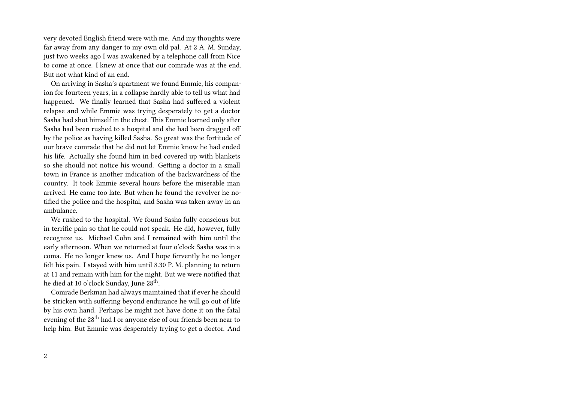very devoted English friend were with me. And my thoughts were far away from any danger to my own old pal. At 2 A. M. Sunday, just two weeks ago I was awakened by a telephone call from Nice to come at once. I knew at once that our comrade was at the end. But not what kind of an end.

On arriving in Sasha's apartment we found Emmie, his companion for fourteen years, in a collapse hardly able to tell us what had happened. We finally learned that Sasha had suffered a violent relapse and while Emmie was trying desperately to get a doctor Sasha had shot himself in the chest. This Emmie learned only after Sasha had been rushed to a hospital and she had been dragged off by the police as having killed Sasha. So great was the fortitude of our brave comrade that he did not let Emmie know he had ended his life. Actually she found him in bed covered up with blankets so she should not notice his wound. Getting a doctor in a small town in France is another indication of the backwardness of the country. It took Emmie several hours before the miserable man arrived. He came too late. But when he found the revolver he notified the police and the hospital, and Sasha was taken away in an ambulance.

We rushed to the hospital. We found Sasha fully conscious but in terrific pain so that he could not speak. He did, however, fully recognize us. Michael Cohn and I remained with him until the early afternoon. When we returned at four o'clock Sasha was in a coma. He no longer knew us. And I hope fervently he no longer felt his pain. I stayed with him until 8.30 P. M. planning to return at 11 and remain with him for the night. But we were notified that he died at 10 o'clock Sunday, June 28<sup>th</sup>.

Comrade Berkman had always maintained that if ever he should be stricken with suffering beyond endurance he will go out of life by his own hand. Perhaps he might not have done it on the fatal evening of the 28<sup>th</sup> had I or anyone else of our friends been near to help him. But Emmie was desperately trying to get a doctor. And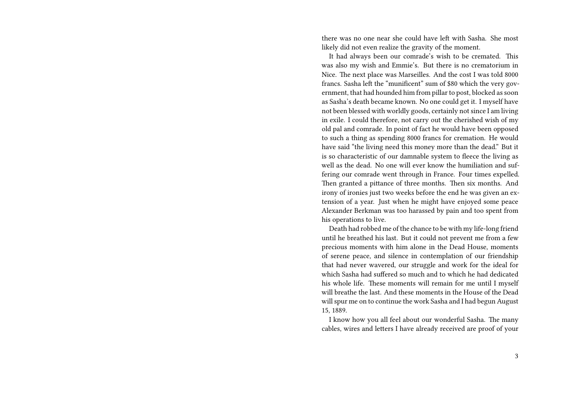there was no one near she could have left with Sasha. She most likely did not even realize the gravity of the moment.

It had always been our comrade's wish to be cremated. This was also my wish and Emmie's. But there is no crematorium in Nice. The next place was Marseilles. And the cost I was told 8000 francs. Sasha left the "munificent" sum of \$80 which the very government, that had hounded him from pillar to post, blocked as soon as Sasha's death became known. No one could get it. I myself have not been blessed with worldly goods, certainly not since I am living in exile. I could therefore, not carry out the cherished wish of my old pal and comrade. In point of fact he would have been opposed to such a thing as spending 8000 francs for cremation. He would have said "the living need this money more than the dead." But it is so characteristic of our damnable system to fleece the living as well as the dead. No one will ever know the humiliation and suffering our comrade went through in France. Four times expelled. Then granted a pittance of three months. Then six months. And irony of ironies just two weeks before the end he was given an extension of a year. Just when he might have enjoyed some peace Alexander Berkman was too harassed by pain and too spent from his operations to live.

Death had robbed me of the chance to be with my life-long friend until he breathed his last. But it could not prevent me from a few precious moments with him alone in the Dead House, moments of serene peace, and silence in contemplation of our friendship that had never wavered, our struggle and work for the ideal for which Sasha had suffered so much and to which he had dedicated his whole life. These moments will remain for me until I myself will breathe the last. And these moments in the House of the Dead will spur me on to continue the work Sasha and I had begun August 15, 1889.

I know how you all feel about our wonderful Sasha. The many cables, wires and letters I have already received are proof of your